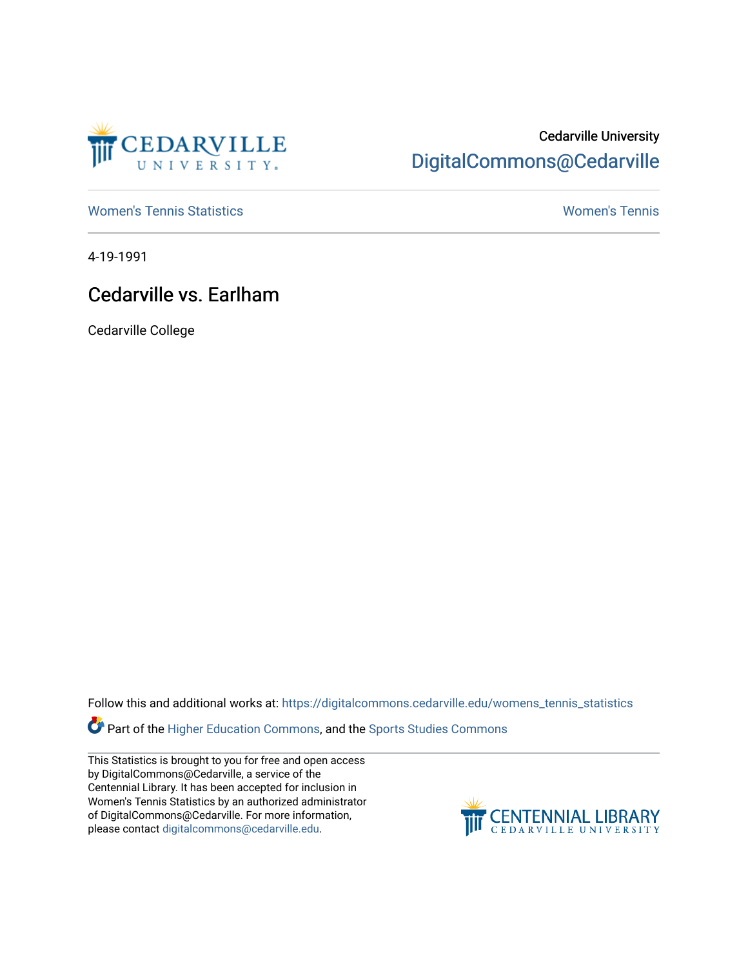

## Cedarville University [DigitalCommons@Cedarville](https://digitalcommons.cedarville.edu/)

[Women's Tennis Statistics](https://digitalcommons.cedarville.edu/womens_tennis_statistics) [Women's Tennis](https://digitalcommons.cedarville.edu/womens_tennis) 

4-19-1991

## Cedarville vs. Earlham

Cedarville College

Follow this and additional works at: [https://digitalcommons.cedarville.edu/womens\\_tennis\\_statistics](https://digitalcommons.cedarville.edu/womens_tennis_statistics?utm_source=digitalcommons.cedarville.edu%2Fwomens_tennis_statistics%2F127&utm_medium=PDF&utm_campaign=PDFCoverPages) 

**Part of the [Higher Education Commons,](http://network.bepress.com/hgg/discipline/1245?utm_source=digitalcommons.cedarville.edu%2Fwomens_tennis_statistics%2F127&utm_medium=PDF&utm_campaign=PDFCoverPages) and the Sports Studies Commons** 

This Statistics is brought to you for free and open access by DigitalCommons@Cedarville, a service of the Centennial Library. It has been accepted for inclusion in Women's Tennis Statistics by an authorized administrator of DigitalCommons@Cedarville. For more information, please contact [digitalcommons@cedarville.edu](mailto:digitalcommons@cedarville.edu).